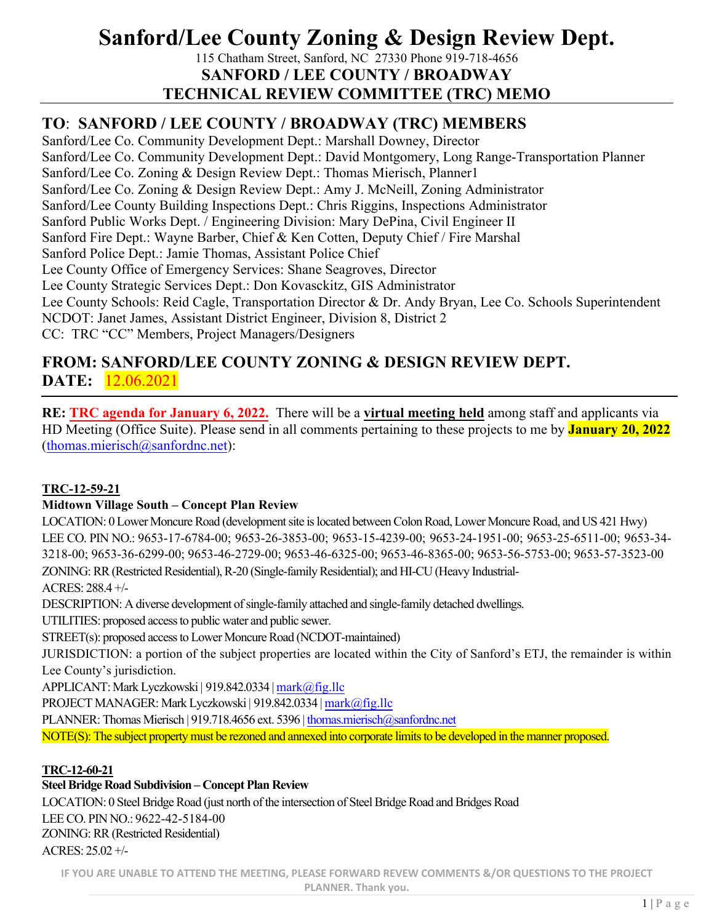# **Sanford/Lee County Zoning & Design Review Dept.**

115 Chatham Street, Sanford, NC 27330 Phone 919-718-4656 **SANFORD / LEE COUNTY / BROADWAY TECHNICAL REVIEW COMMITTEE (TRC) MEMO**

# **TO**: **SANFORD / LEE COUNTY / BROADWAY (TRC) MEMBERS**

Sanford/Lee Co. Community Development Dept.: Marshall Downey, Director Sanford/Lee Co. Community Development Dept.: David Montgomery, Long Range-Transportation Planner Sanford/Lee Co. Zoning & Design Review Dept.: Thomas Mierisch, Planner1 Sanford/Lee Co. Zoning & Design Review Dept.: Amy J. McNeill, Zoning Administrator Sanford/Lee County Building Inspections Dept.: Chris Riggins, Inspections Administrator Sanford Public Works Dept. / Engineering Division: Mary DePina, Civil Engineer II Sanford Fire Dept.: Wayne Barber, Chief & Ken Cotten, Deputy Chief / Fire Marshal Sanford Police Dept.: Jamie Thomas, Assistant Police Chief Lee County Office of Emergency Services: Shane Seagroves, Director Lee County Strategic Services Dept.: Don Kovasckitz, GIS Administrator Lee County Schools: Reid Cagle, Transportation Director & Dr. Andy Bryan, Lee Co. Schools Superintendent NCDOT: Janet James, Assistant District Engineer, Division 8, District 2 CC: TRC "CC" Members, Project Managers/Designers

# **FROM: SANFORD/LEE COUNTY ZONING & DESIGN REVIEW DEPT. DATE:** 12.06.2021

**RE: TRC agenda for January 6, 2022.** There will be a **virtual meeting held** among staff and applicants via HD Meeting (Office Suite). Please send in all comments pertaining to these projects to me by **January 20, 2022** (thomas.mierisch@sanfordnc.net):

## **TRC-12-59-21**

## **Midtown Village South – Concept Plan Review**

LOCATION: 0 Lower Moncure Road (development site is located between Colon Road, Lower Moncure Road, and US 421 Hwy) LEE CO. PIN NO.: 9653-17-6784-00; 9653-26-3853-00; 9653-15-4239-00; 9653-24-1951-00; 9653-25-6511-00; 9653-34- 3218-00; 9653-36-6299-00; 9653-46-2729-00; 9653-46-6325-00; 9653-46-8365-00; 9653-56-5753-00; 9653-57-3523-00 ZONING: RR(Restricted Residential), R-20 (Single-family Residential); and HI-CU (Heavy Industrial-ACRES: 288.4 +/-

DESCRIPTION: A diverse development of single-family attached and single-family detached dwellings.

UTILITIES: proposed access to public water and public sewer.

STREET(s): proposed access to Lower Moncure Road (NCDOT-maintained)

JURISDICTION: a portion of the subject properties are located within the City of Sanford's ETJ, the remainder is within Lee County's jurisdiction.

APPLICANT: Mark Lyczkowski | 919.842.0334 | mark@fig.llc

PROJECT MANAGER: Mark Lyczkowski | 919.842.0334 | mark@fig.llc

PLANNER: Thomas Mierisch | 919.718.4656 ext. 5396 | thomas.mierisch@sanfordnc.net

NOTE(S): The subject property must be rezoned and annexed into corporate limits to be developed in the manner proposed.

## **TRC-12-60-21**

**Steel Bridge Road Subdivision – Concept Plan Review**

LOCATION: 0 Steel Bridge Road (just north of the intersection of Steel Bridge Road and Bridges Road

LEE CO. PIN NO.: 9622-42-5184-00

ZONING: RR (Restricted Residential) ACRES: 25.02 +/-

**IF YOU ARE UNABLE TO ATTEND THE MEETING, PLEASE FORWARD REVEW COMMENTS &/OR QUESTIONS TO THE PROJECT**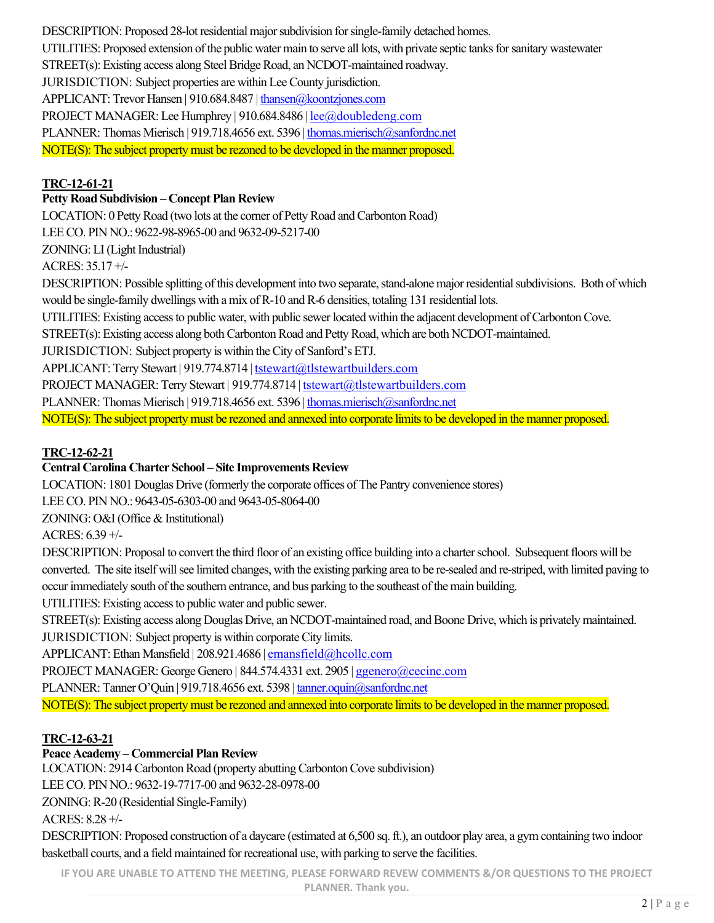DESCRIPTION: Proposed 28-lot residential major subdivision for single-family detached homes. UTILITIES: Proposed extension of the public water main to serve all lots, with private septic tanks for sanitary wastewater STREET(s): Existing access along Steel Bridge Road, an NCDOT-maintained roadway. JURISDICTION: Subject properties are within Lee County jurisdiction. APPLICANT: Trevor Hansen | 910.684.8487 | thansen@koontzjones.com PROJECT MANAGER: Lee Humphrey | 910.684.8486 | lee@doubledeng.com PLANNER: Thomas Mierisch | 919.718.4656 ext. 5396 | thomas.mierisch@sanfordnc.net NOTE(S): The subject property must be rezoned to be developed in the manner proposed.

#### **TRC-12-61-21**

#### **Petty Road Subdivision – Concept Plan Review**

LOCATION: 0 Petty Road (two lots at the corner of Petty Road and Carbonton Road)

LEE CO. PIN NO.: 9622-98-8965-00 and 9632-09-5217-00

ZONING: LI (Light Industrial)

ACRES: 35.17 +/-

DESCRIPTION: Possible splitting of this development into two separate, stand-alone major residential subdivisions. Both of which would be single-family dwellings with a mix of R-10 and R-6 densities, totaling 131 residential lots.

UTILITIES: Existing access to public water, with public sewer located within the adjacent development of Carbonton Cove.

STREET(s): Existing access along both Carbonton Road and Petty Road, which are both NCDOT-maintained.

JURISDICTION: Subject property is within the City of Sanford's ETJ.

APPLICANT: Terry Stewart | 919.774.8714 | tstewart@tlstewartbuilders.com

PROJECT MANAGER: Terry Stewart | 919.774.8714 | tstewart@tlstewartbuilders.com

PLANNER: Thomas Mierisch | 919.718.4656 ext. 5396 | thomas.mierisch@sanfordnc.net

NOTE(S): The subject property must be rezoned and annexed into corporate limits to be developed in the manner proposed.

#### **TRC-12-62-21**

#### **Central Carolina Charter School – Site Improvements Review**

LOCATION: 1801 Douglas Drive (formerly the corporate offices of The Pantry convenience stores)

LEE CO. PIN NO.: 9643-05-6303-00 and 9643-05-8064-00

ZONING: O&I (Office & Institutional)

ACRES: 6.39 +/-

DESCRIPTION: Proposal to convert the third floor of an existing office building into a charter school. Subsequent floors will be converted. The site itself will see limited changes, with the existing parking area to be re-sealed and re-striped, with limited paving to occur immediately south of the southern entrance, and bus parking to the southeast of the main building.

UTILITIES: Existing access to public water and public sewer.

STREET(s): Existing access along Douglas Drive, an NCDOT-maintained road, and Boone Drive, which is privately maintained. JURISDICTION: Subject property is within corporate City limits.

APPLICANT: Ethan Mansfield | 208.921.4686 | emansfield@hcollc.com

PROJECT MANAGER: George Genero | 844.574.4331 ext. 2905 | ggenero@cecinc.com

PLANNER: Tanner O'Quin | 919.718.4656 ext. 5398 | tanner.oquin@sanfordnc.net

NOTE(S): The subject property must be rezoned and annexed into corporate limits to be developed in the manner proposed.

## **TRC-12-63-21**

## **Peace Academy – Commercial Plan Review**

LOCATION: 2914 Carbonton Road (property abutting Carbonton Cove subdivision)

LEE CO. PIN NO.: 9632-19-7717-00 and 9632-28-0978-00

ZONING: R-20 (Residential Single-Family)

ACRES: 8.28 +/-

DESCRIPTION: Proposed construction of a daycare (estimated at 6,500 sq. ft.), an outdoor play area, a gym containing two indoor basketball courts, and a field maintained for recreational use, with parking to serve the facilities.

**IF YOU ARE UNABLE TO ATTEND THE MEETING, PLEASE FORWARD REVEW COMMENTS &/OR QUESTIONS TO THE PROJECT**

**PLANNER. Thank you.**